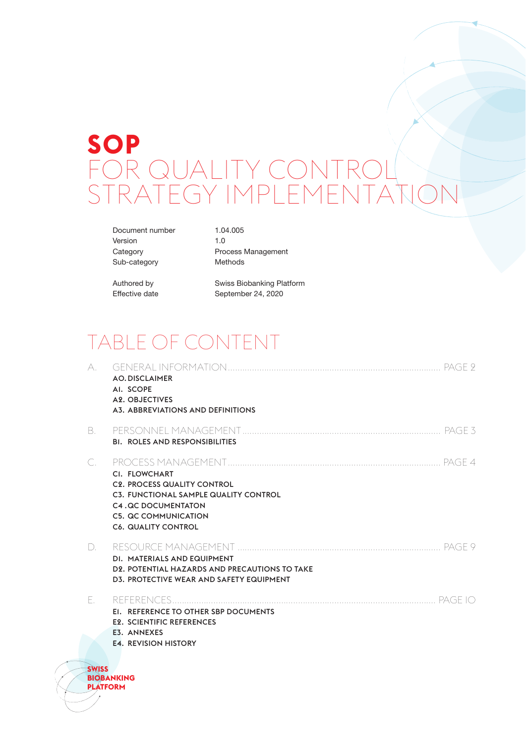# **SOP** FOR QUALITY CONTROL<br>STRATEGY IMPLEMFNTA Y IMPLEME

Document number 1.04.005 Version 1.0 Sub-category Methods

Category **Process Management** 

Authored by Swiss Biobanking Platform<br>Effective date September 24, 2020 September 24, 2020

# TABLE OF CONTENT

| A.                              | <b>AO.DISCLAIMER</b><br>AI. SCOPE<br><b>A2. OBJECTIVES</b><br>A3. ABBREVIATIONS AND DEFINITIONS                                                                                        |
|---------------------------------|----------------------------------------------------------------------------------------------------------------------------------------------------------------------------------------|
| В.                              | <b>BI. ROLES AND RESPONSIBILITIES</b>                                                                                                                                                  |
| С.                              | CI. FLOWCHART<br><b>C2. PROCESS QUALITY CONTROL</b><br>C3. FUNCTIONAL SAMPLE QUALITY CONTROL<br><b>C4.QC DOCUMENTATON</b><br><b>C5. QC COMMUNICATION</b><br><b>C6. QUALITY CONTROL</b> |
| D.                              | DI. MATERIALS AND EQUIPMENT<br>D <sub>2</sub> . POTENTIAL HAZARDS AND PRECAUTIONS TO TAKE<br>D3. PROTECTIVE WEAR AND SAFETY EQUIPMENT                                                  |
| F.                              |                                                                                                                                                                                        |
|                                 | EI. REFERENCE TO OTHER SBP DOCUMENTS                                                                                                                                                   |
|                                 | <b>E2. SCIENTIFIC REFERENCES</b><br>E3. ANNEXES                                                                                                                                        |
|                                 | <b>E4. REVISION HISTORY</b>                                                                                                                                                            |
| <b>SWISS</b><br><b>PLATFORM</b> | <b>BIOBANKING</b>                                                                                                                                                                      |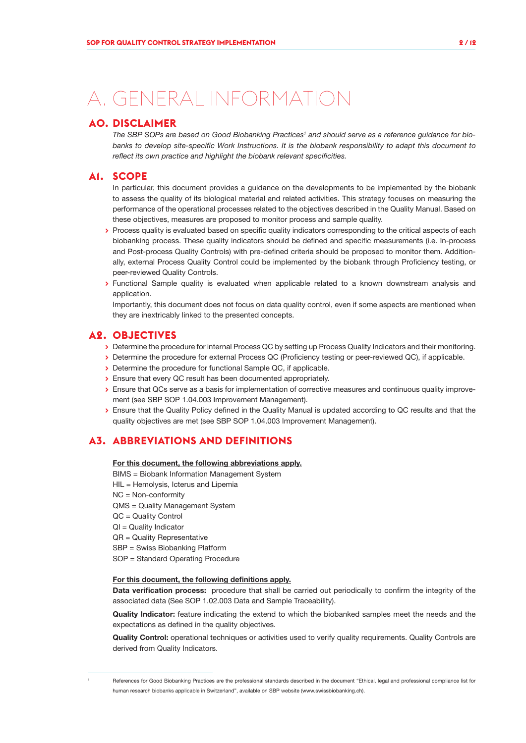# A. GENERAL INFORMATION

#### **A0. DISCLAIMER**

The SBP SOPs are based on Good Biobanking Practices<sup>1</sup> and should serve as a reference guidance for bio*banks to develop site-specific Work Instructions. It is the biobank responsibility to adapt this document to reflect its own practice and highlight the biobank relevant specificities.*

#### **A1. SCOPE**

In particular, this document provides a guidance on the developments to be implemented by the biobank to assess the quality of its biological material and related activities. This strategy focuses on measuring the performance of the operational processes related to the objectives described in the Quality Manual. Based on these objectives, measures are proposed to monitor process and sample quality.

- **>** Process quality is evaluated based on specific quality indicators corresponding to the critical aspects of each biobanking process. These quality indicators should be defined and specific measurements (i.e. In-process and Post-process Quality Controls) with pre-defined criteria should be proposed to monitor them. Additionally, external Process Quality Control could be implemented by the biobank through Proficiency testing, or peer-reviewed Quality Controls.
- **>** Functional Sample quality is evaluated when applicable related to a known downstream analysis and application.

Importantly, this document does not focus on data quality control, even if some aspects are mentioned when they are inextricably linked to the presented concepts.

#### **A2. OBJECTIVES**

- **>** Determine the procedure for internal Process QC by setting up Process Quality Indicators and their monitoring.
- **>** Determine the procedure for external Process QC (Proficiency testing or peer-reviewed QC), if applicable.
- **>** Determine the procedure for functional Sample QC, if applicable.
- **>** Ensure that every QC result has been documented appropriately.
- **>** Ensure that QCs serve as a basis for implementation of corrective measures and continuous quality improvement (see SBP SOP 1.04.003 Improvement Management).
- **>** Ensure that the Quality Policy defined in the Quality Manual is updated according to QC results and that the quality objectives are met (see SBP SOP 1.04.003 Improvement Management).

### **A3. ABBREVIATIONS AND DEFINITIONS**

For this document, the following abbreviations apply.

- BIMS = Biobank Information Management System
- HIL = Hemolysis, Icterus and Lipemia
- NC = Non-conformity
- QMS = Quality Management System
- QC = Quality Control
- QI = Quality Indicator
- QR = Quality Representative
- SBP = Swiss Biobanking Platform
- SOP = Standard Operating Procedure

#### For this document, the following definitions apply.

Data verification process: procedure that shall be carried out periodically to confirm the integrity of the associated data (See SOP 1.02.003 Data and Sample Traceability).

Quality Indicator: feature indicating the extend to which the biobanked samples meet the needs and the expectations as defined in the quality objectives.

Quality Control: operational techniques or activities used to verify quality requirements. Quality Controls are derived from Quality Indicators.

References for Good Biobanking Practices are the professional standards described in the document "Ethical, legal and professional compliance list for human research biobanks applicable in Switzerland", available on SBP website (www.swissbiobanking.ch).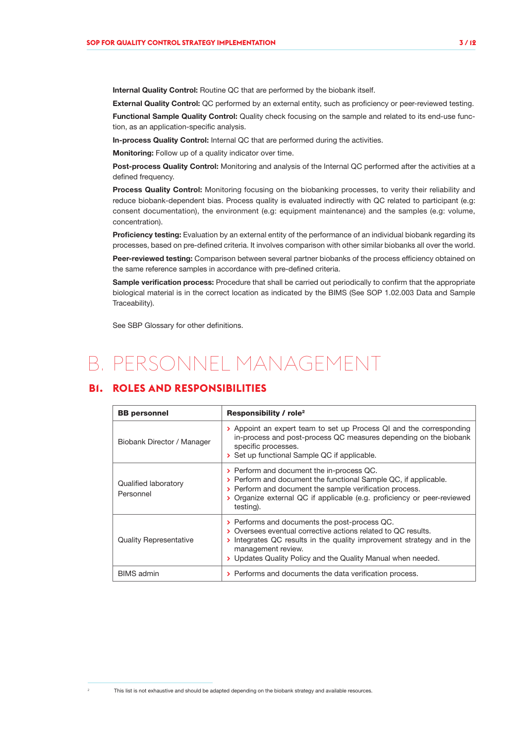Internal Quality Control: Routine QC that are performed by the biobank itself.

External Quality Control: QC performed by an external entity, such as proficiency or peer-reviewed testing.

Functional Sample Quality Control: Quality check focusing on the sample and related to its end-use function, as an application-specific analysis.

In-process Quality Control: Internal QC that are performed during the activities.

Monitoring: Follow up of a quality indicator over time.

Post-process Quality Control: Monitoring and analysis of the Internal QC performed after the activities at a defined frequency.

Process Quality Control: Monitoring focusing on the biobanking processes, to verity their reliability and reduce biobank-dependent bias. Process quality is evaluated indirectly with QC related to participant (e.g: consent documentation), the environment (e.g: equipment maintenance) and the samples (e.g: volume, concentration).

Proficiency testing: Evaluation by an external entity of the performance of an individual biobank regarding its processes, based on pre-defined criteria. It involves comparison with other similar biobanks all over the world.

Peer-reviewed testing: Comparison between several partner biobanks of the process efficiency obtained on the same reference samples in accordance with pre-defined criteria.

Sample verification process: Procedure that shall be carried out periodically to confirm that the appropriate biological material is in the correct location as indicated by the BIMS (See SOP 1.02.003 Data and Sample Traceability).

See SBP Glossary for other definitions.

## B. PERSONNEL MANAGEMENT

### **B1. ROLES AND RESPONSIBILITIES**

| <b>BB</b> personnel               | <b>Responsibility / role<sup>2</sup></b>                                                                                                                                                                                                                                     |  |  |  |  |  |
|-----------------------------------|------------------------------------------------------------------------------------------------------------------------------------------------------------------------------------------------------------------------------------------------------------------------------|--|--|--|--|--|
| Biobank Director / Manager        | > Appoint an expert team to set up Process QI and the corresponding<br>in-process and post-process QC measures depending on the biobank<br>specific processes.<br>> Set up functional Sample QC if applicable.                                                               |  |  |  |  |  |
| Qualified laboratory<br>Personnel | > Perform and document the in-process QC.<br>> Perform and document the functional Sample QC, if applicable.<br>> Perform and document the sample verification process.<br>> Organize external QC if applicable (e.g. proficiency or peer-reviewed<br>testing).              |  |  |  |  |  |
| <b>Quality Representative</b>     | > Performs and documents the post-process QC.<br>> Oversees eventual corrective actions related to QC results.<br>Integrates QC results in the quality improvement strategy and in the<br>management review.<br>> Updates Quality Policy and the Quality Manual when needed. |  |  |  |  |  |
| <b>BIMS</b> admin                 | > Performs and documents the data verification process.                                                                                                                                                                                                                      |  |  |  |  |  |

This list is not exhaustive and should be adapted depending on the biobank strategy and available resources.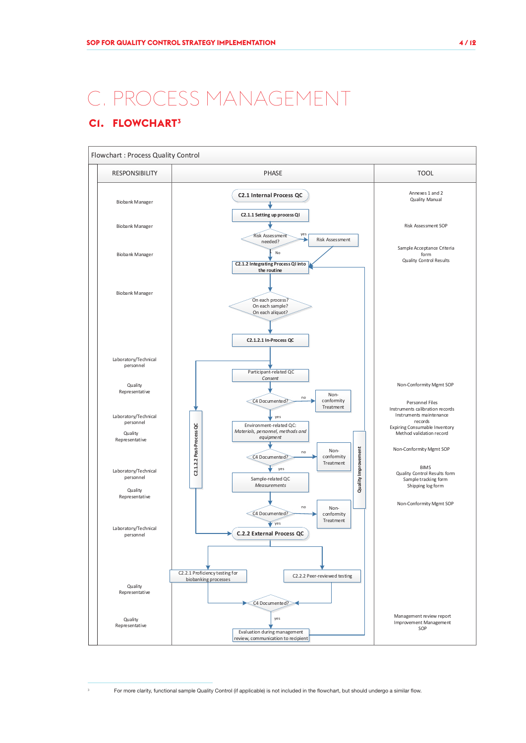# C. PROCESS MANAGEMENT

## **C1. FLOWCHART<sup>3</sup>**



<sup>3</sup> For more clarity, functional sample Quality Control (if applicable) is not included in the flowchart, but should undergo a similar flow.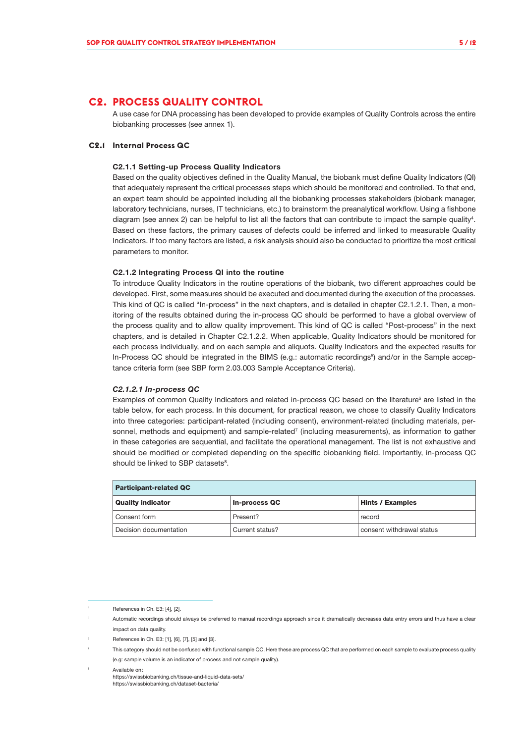#### **C2. PROCESS QUALITY CONTROL**

A use case for DNA processing has been developed to provide examples of Quality Controls across the entire biobanking processes (see annex 1).

#### **C2.1 Internal Process QC**

#### C2.1.1 Setting-up Process Quality Indicators

Based on the quality objectives defined in the Quality Manual, the biobank must define Quality Indicators (QI) that adequately represent the critical processes steps which should be monitored and controlled. To that end, an expert team should be appointed including all the biobanking processes stakeholders (biobank manager, laboratory technicians, nurses, IT technicians, etc.) to brainstorm the preanalytical workflow. Using a fishbone diagram (see annex 2) can be helpful to list all the factors that can contribute to impact the sample quality<sup>4</sup>. Based on these factors, the primary causes of defects could be inferred and linked to measurable Quality Indicators. If too many factors are listed, a risk analysis should also be conducted to prioritize the most critical parameters to monitor.

#### C2.1.2 Integrating Process QI into the routine

To introduce Quality Indicators in the routine operations of the biobank, two different approaches could be developed. First, some measures should be executed and documented during the execution of the processes. This kind of QC is called "In-process" in the next chapters, and is detailed in chapter C2.1.2.1. Then, a monitoring of the results obtained during the in-process QC should be performed to have a global overview of the process quality and to allow quality improvement. This kind of QC is called "Post-process" in the next chapters, and is detailed in Chapter C2.1.2.2. When applicable, Quality Indicators should be monitored for each process individually, and on each sample and aliquots. Quality Indicators and the expected results for In-Process QC should be integrated in the BIMS (e.g.: automatic recordings<sup>5</sup>) and/or in the Sample acceptance criteria form (see SBP form 2.03.003 Sample Acceptance Criteria).

#### *C2.1.2.1 In-process QC*

Examples of common Quality Indicators and related in-process QC based on the literature<sup>6</sup> are listed in the table below, for each process. In this document, for practical reason, we chose to classify Quality Indicators into three categories: participant-related (including consent), environment-related (including materials, personnel, methods and equipment) and sample-related<sup>7</sup> (including measurements), as information to gather in these categories are sequential, and facilitate the operational management. The list is not exhaustive and should be modified or completed depending on the specific biobanking field. Importantly, in-process QC should be linked to SBP datasets<sup>8</sup>.

| <b>Participant-related QC</b> |                      |                           |  |  |  |  |  |
|-------------------------------|----------------------|---------------------------|--|--|--|--|--|
| <b>Quality indicator</b>      | <b>In-process QC</b> | <b>Hints / Examples</b>   |  |  |  |  |  |
| Consent form                  | Present?             | record                    |  |  |  |  |  |
| Decision documentation        | Current status?      | consent withdrawal status |  |  |  |  |  |

References in Ch. E3: [4], [2]

Automatic recordings should always be preferred to manual recordings approach since it dramatically decreases data entry errors and thus have a clear impact on data quality.

<sup>6</sup> References in Ch. E3: [1], [6], [7], [5] and [3].

<sup>7</sup> This category should not be confused with functional sample QC. Here these are process QC that are performed on each sample to evaluate process quality (e.g: sample volume is an indicator of process and not sample quality).

<sup>8</sup> Available on: https://swissbiobanking.ch/tissue-and-liquid-data-sets/ https://swissbiobanking.ch/dataset-bacteria/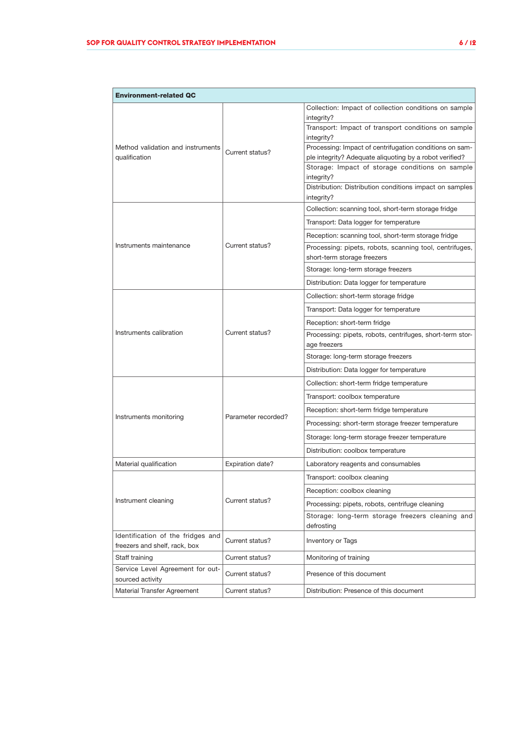| <b>Environment-related QC</b>                                                                                                                                                                                                                                                                                 |                                                    |                                                                                                            |  |  |  |  |  |  |
|---------------------------------------------------------------------------------------------------------------------------------------------------------------------------------------------------------------------------------------------------------------------------------------------------------------|----------------------------------------------------|------------------------------------------------------------------------------------------------------------|--|--|--|--|--|--|
|                                                                                                                                                                                                                                                                                                               |                                                    | Collection: Impact of collection conditions on sample<br>integrity?                                        |  |  |  |  |  |  |
|                                                                                                                                                                                                                                                                                                               |                                                    | Transport: Impact of transport conditions on sample                                                        |  |  |  |  |  |  |
|                                                                                                                                                                                                                                                                                                               |                                                    | integrity?                                                                                                 |  |  |  |  |  |  |
| Method validation and instruments<br>Current status?<br>qualification<br>Instruments maintenance<br>Current status?<br>Instruments calibration<br>Current status?<br>Instruments monitoring<br>Expiration date?<br>Instrument cleaning<br>Current status?<br>Current status?<br>freezers and shelf, rack, box |                                                    | Processing: Impact of centrifugation conditions on sam-                                                    |  |  |  |  |  |  |
|                                                                                                                                                                                                                                                                                                               |                                                    | ple integrity? Adequate aliquoting by a robot verified?<br>Storage: Impact of storage conditions on sample |  |  |  |  |  |  |
|                                                                                                                                                                                                                                                                                                               |                                                    | integrity?                                                                                                 |  |  |  |  |  |  |
|                                                                                                                                                                                                                                                                                                               |                                                    | Distribution: Distribution conditions impact on samples                                                    |  |  |  |  |  |  |
|                                                                                                                                                                                                                                                                                                               |                                                    | integrity?                                                                                                 |  |  |  |  |  |  |
|                                                                                                                                                                                                                                                                                                               |                                                    | Collection: scanning tool, short-term storage fridge                                                       |  |  |  |  |  |  |
|                                                                                                                                                                                                                                                                                                               |                                                    | Transport: Data logger for temperature                                                                     |  |  |  |  |  |  |
|                                                                                                                                                                                                                                                                                                               |                                                    | Reception: scanning tool, short-term storage fridge                                                        |  |  |  |  |  |  |
|                                                                                                                                                                                                                                                                                                               |                                                    | Processing: pipets, robots, scanning tool, centrifuges,                                                    |  |  |  |  |  |  |
|                                                                                                                                                                                                                                                                                                               |                                                    | short-term storage freezers                                                                                |  |  |  |  |  |  |
|                                                                                                                                                                                                                                                                                                               |                                                    | Storage: long-term storage freezers                                                                        |  |  |  |  |  |  |
|                                                                                                                                                                                                                                                                                                               |                                                    | Distribution: Data logger for temperature                                                                  |  |  |  |  |  |  |
|                                                                                                                                                                                                                                                                                                               |                                                    | Collection: short-term storage fridge                                                                      |  |  |  |  |  |  |
|                                                                                                                                                                                                                                                                                                               |                                                    | Transport: Data logger for temperature                                                                     |  |  |  |  |  |  |
|                                                                                                                                                                                                                                                                                                               |                                                    | Reception: short-term fridge                                                                               |  |  |  |  |  |  |
|                                                                                                                                                                                                                                                                                                               |                                                    | Processing: pipets, robots, centrifuges, short-term stor-                                                  |  |  |  |  |  |  |
|                                                                                                                                                                                                                                                                                                               |                                                    | age freezers<br>Storage: long-term storage freezers                                                        |  |  |  |  |  |  |
|                                                                                                                                                                                                                                                                                                               |                                                    | Distribution: Data logger for temperature                                                                  |  |  |  |  |  |  |
|                                                                                                                                                                                                                                                                                                               |                                                    | Collection: short-term fridge temperature                                                                  |  |  |  |  |  |  |
|                                                                                                                                                                                                                                                                                                               |                                                    | Transport: coolbox temperature                                                                             |  |  |  |  |  |  |
|                                                                                                                                                                                                                                                                                                               |                                                    | Reception: short-term fridge temperature                                                                   |  |  |  |  |  |  |
| Parameter recorded?                                                                                                                                                                                                                                                                                           | Processing: short-term storage freezer temperature |                                                                                                            |  |  |  |  |  |  |
|                                                                                                                                                                                                                                                                                                               |                                                    | Storage: long-term storage freezer temperature                                                             |  |  |  |  |  |  |
|                                                                                                                                                                                                                                                                                                               |                                                    | Distribution: coolbox temperature                                                                          |  |  |  |  |  |  |
| Material qualification                                                                                                                                                                                                                                                                                        |                                                    | Laboratory reagents and consumables                                                                        |  |  |  |  |  |  |
|                                                                                                                                                                                                                                                                                                               |                                                    | Transport: coolbox cleaning                                                                                |  |  |  |  |  |  |
|                                                                                                                                                                                                                                                                                                               |                                                    | Reception: coolbox cleaning                                                                                |  |  |  |  |  |  |
|                                                                                                                                                                                                                                                                                                               |                                                    | Processing: pipets, robots, centrifuge cleaning                                                            |  |  |  |  |  |  |
|                                                                                                                                                                                                                                                                                                               |                                                    | Storage: long-term storage freezers cleaning and<br>defrosting                                             |  |  |  |  |  |  |
| Identification of the fridges and                                                                                                                                                                                                                                                                             |                                                    | <b>Inventory or Tags</b>                                                                                   |  |  |  |  |  |  |
| Staff training                                                                                                                                                                                                                                                                                                | Current status?                                    | Monitoring of training                                                                                     |  |  |  |  |  |  |
| Service Level Agreement for out-<br>sourced activity                                                                                                                                                                                                                                                          | Current status?                                    | Presence of this document                                                                                  |  |  |  |  |  |  |
| Material Transfer Agreement                                                                                                                                                                                                                                                                                   | Current status?                                    | Distribution: Presence of this document                                                                    |  |  |  |  |  |  |
|                                                                                                                                                                                                                                                                                                               |                                                    |                                                                                                            |  |  |  |  |  |  |

٦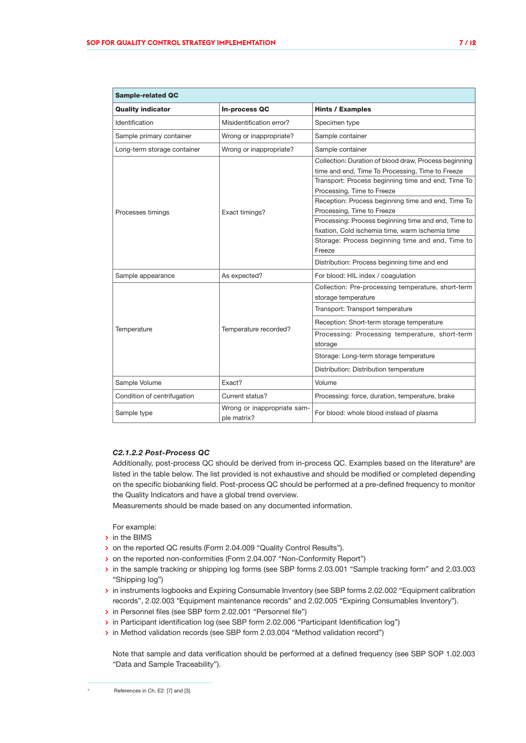| <b>Sample-related QC</b>    |                                            |                                                                                                                                                                                                                                                                                                                                                                                                                                                                                                            |  |  |  |  |  |  |
|-----------------------------|--------------------------------------------|------------------------------------------------------------------------------------------------------------------------------------------------------------------------------------------------------------------------------------------------------------------------------------------------------------------------------------------------------------------------------------------------------------------------------------------------------------------------------------------------------------|--|--|--|--|--|--|
| <b>Quality indicator</b>    | <b>In-process QC</b>                       | <b>Hints / Examples</b>                                                                                                                                                                                                                                                                                                                                                                                                                                                                                    |  |  |  |  |  |  |
| Identification              | Misidentification error?                   | Specimen type                                                                                                                                                                                                                                                                                                                                                                                                                                                                                              |  |  |  |  |  |  |
| Sample primary container    | Wrong or inappropriate?                    | Sample container                                                                                                                                                                                                                                                                                                                                                                                                                                                                                           |  |  |  |  |  |  |
| Long-term storage container | Wrong or inappropriate?                    | Sample container                                                                                                                                                                                                                                                                                                                                                                                                                                                                                           |  |  |  |  |  |  |
| Processes timings           | Exact timings?                             | Collection: Duration of blood draw, Process beginning<br>time and end, Time To Processing, Time to Freeze<br>Transport: Process beginning time and end, Time To<br>Processing, Time to Freeze<br>Reception: Process beginning time and end, Time To<br>Processing, Time to Freeze<br>Processing: Process beginning time and end, Time to<br>fixation, Cold ischemia time, warm ischemia time<br>Storage: Process beginning time and end, Time to<br>Freeze<br>Distribution: Process beginning time and end |  |  |  |  |  |  |
| Sample appearance           | As expected?                               | For blood: HIL index / coagulation                                                                                                                                                                                                                                                                                                                                                                                                                                                                         |  |  |  |  |  |  |
|                             |                                            | Collection: Pre-processing temperature, short-term<br>storage temperature<br>Transport: Transport temperature                                                                                                                                                                                                                                                                                                                                                                                              |  |  |  |  |  |  |
| Temperature                 | Temperature recorded?                      | Reception: Short-term storage temperature                                                                                                                                                                                                                                                                                                                                                                                                                                                                  |  |  |  |  |  |  |
|                             |                                            | Processing: Processing temperature, short-term<br>storage                                                                                                                                                                                                                                                                                                                                                                                                                                                  |  |  |  |  |  |  |
|                             |                                            | Storage: Long-term storage temperature                                                                                                                                                                                                                                                                                                                                                                                                                                                                     |  |  |  |  |  |  |
|                             |                                            | Distribution: Distribution temperature                                                                                                                                                                                                                                                                                                                                                                                                                                                                     |  |  |  |  |  |  |
| Sample Volume               | Exact?                                     | Volume                                                                                                                                                                                                                                                                                                                                                                                                                                                                                                     |  |  |  |  |  |  |
| Condition of centrifugation | Current status?                            | Processing: force, duration, temperature, brake                                                                                                                                                                                                                                                                                                                                                                                                                                                            |  |  |  |  |  |  |
| Sample type                 | Wrong or inappropriate sam-<br>ple matrix? | For blood: whole blood instead of plasma                                                                                                                                                                                                                                                                                                                                                                                                                                                                   |  |  |  |  |  |  |

#### *C2.1.2.2 Post-Process QC*

Additionally, post-process QC should be derived from in-process QC. Examples based on the literature<sup>9</sup> are listed in the table below. The list provided is not exhaustive and should be modified or completed depending on the specific biobanking field. Post-process QC should be performed at a pre-defined frequency to monitor the Quality Indicators and have a global trend overview.

Measurements should be made based on any documented information.

For example:

- **>** in the BIMS
- **>** on the reported QC results (Form 2.04.009 "Quality Control Results").
- **>** on the reported non-conformities (Form 2.04.007 "Non-Conformity Report")
- **>** in the sample tracking or shipping log forms (see SBP forms 2.03.001 "Sample tracking form" and 2.03.003 "Shipping log")
- **>** in instruments logbooks and Expiring Consumable Inventory (see SBP forms 2.02.002 "Equipment calibration records", 2.02.003 \*Equipment maintenance records" and 2.02.005 "Expiring Consumables Inventory").
- **>** in Personnel files (see SBP form 2.02.001 "Personnel file")
- **>** in Participant identification log (see SBP form 2.02.006 "Participant Identification log")
- **>** in Method validation records (see SBP form 2.03.004 "Method validation record")

Note that sample and data verification should be performed at a defined frequency (see SBP SOP 1.02.003 "Data and Sample Traceability").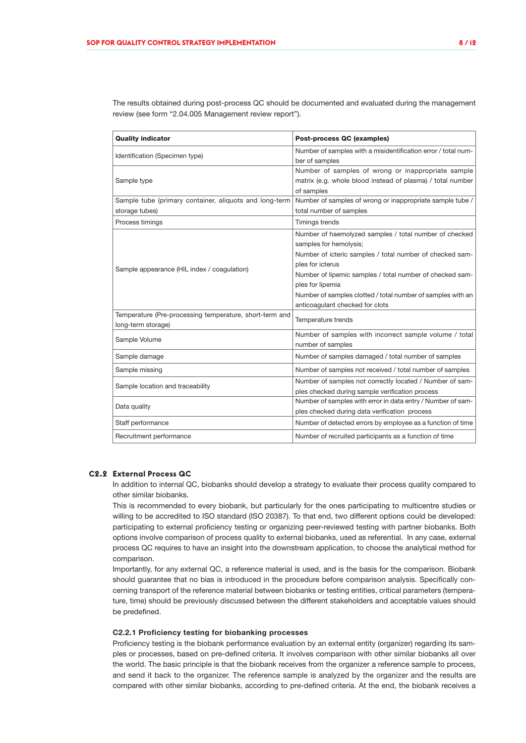The results obtained during post-process QC should be documented and evaluated during the management review (see form "2.04.005 Management review report").

| <b>Quality indicator</b>                                                      | <b>Post-process QC (examples)</b>                                                                                                                                                                                                                                                                                                                  |
|-------------------------------------------------------------------------------|----------------------------------------------------------------------------------------------------------------------------------------------------------------------------------------------------------------------------------------------------------------------------------------------------------------------------------------------------|
| Identification (Specimen type)                                                | Number of samples with a misidentification error / total num-<br>ber of samples                                                                                                                                                                                                                                                                    |
| Sample type                                                                   | Number of samples of wrong or inappropriate sample<br>matrix (e.g. whole blood instead of plasma) / total number<br>of samples                                                                                                                                                                                                                     |
| Sample tube (primary container, aliquots and long-term<br>storage tubes)      | Number of samples of wrong or inappropriate sample tube /<br>total number of samples                                                                                                                                                                                                                                                               |
| Process timings                                                               | Timings trends                                                                                                                                                                                                                                                                                                                                     |
| Sample appearance (HIL index / coagulation)                                   | Number of haemolyzed samples / total number of checked<br>samples for hemolysis;<br>Number of icteric samples / total number of checked sam-<br>ples for icterus<br>Number of lipemic samples / total number of checked sam-<br>ples for lipemia<br>Number of samples clotted / total number of samples with an<br>anticoagulant checked for clots |
| Temperature (Pre-processing temperature, short-term and<br>long-term storage) | Temperature trends                                                                                                                                                                                                                                                                                                                                 |
| Sample Volume                                                                 | Number of samples with incorrect sample volume / total<br>number of samples                                                                                                                                                                                                                                                                        |
| Sample damage                                                                 | Number of samples damaged / total number of samples                                                                                                                                                                                                                                                                                                |
| Sample missing                                                                | Number of samples not received / total number of samples                                                                                                                                                                                                                                                                                           |
| Sample location and traceability                                              | Number of samples not correctly located / Number of sam-<br>ples checked during sample verification process                                                                                                                                                                                                                                        |
| Data quality                                                                  | Number of samples with error in data entry / Number of sam-<br>ples checked during data verification process                                                                                                                                                                                                                                       |
| Staff performance                                                             | Number of detected errors by employee as a function of time                                                                                                                                                                                                                                                                                        |
| Recruitment performance                                                       | Number of recruited participants as a function of time                                                                                                                                                                                                                                                                                             |

#### **C2.2 External Process QC**

In addition to internal QC, biobanks should develop a strategy to evaluate their process quality compared to other similar biobanks.

This is recommended to every biobank, but particularly for the ones participating to multicentre studies or willing to be accredited to ISO standard (ISO 20387). To that end, two different options could be developed: participating to external proficiency testing or organizing peer-reviewed testing with partner biobanks. Both options involve comparison of process quality to external biobanks, used as referential. In any case, external process QC requires to have an insight into the downstream application, to choose the analytical method for comparison.

Importantly, for any external QC, a reference material is used, and is the basis for the comparison. Biobank should guarantee that no bias is introduced in the procedure before comparison analysis. Specifically concerning transport of the reference material between biobanks or testing entities, critical parameters (temperature, time) should be previously discussed between the different stakeholders and acceptable values should be predefined.

#### C2.2.1 Proficiency testing for biobanking processes

Proficiency testing is the biobank performance evaluation by an external entity (organizer) regarding its samples or processes, based on pre-defined criteria. It involves comparison with other similar biobanks all over the world. The basic principle is that the biobank receives from the organizer a reference sample to process, and send it back to the organizer. The reference sample is analyzed by the organizer and the results are compared with other similar biobanks, according to pre-defined criteria. At the end, the biobank receives a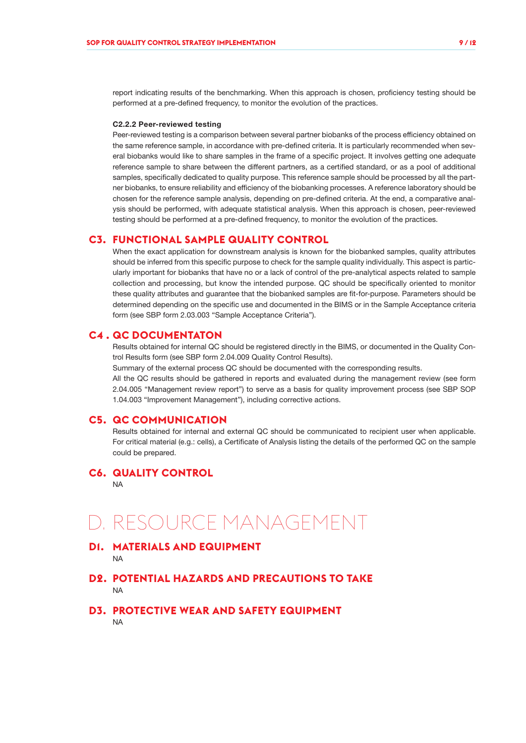report indicating results of the benchmarking. When this approach is chosen, proficiency testing should be performed at a pre-defined frequency, to monitor the evolution of the practices.

#### C2.2.2 Peer-reviewed testing

Peer-reviewed testing is a comparison between several partner biobanks of the process efficiency obtained on the same reference sample, in accordance with pre-defined criteria. It is particularly recommended when several biobanks would like to share samples in the frame of a specific project. It involves getting one adequate reference sample to share between the different partners, as a certified standard, or as a pool of additional samples, specifically dedicated to quality purpose. This reference sample should be processed by all the partner biobanks, to ensure reliability and efficiency of the biobanking processes. A reference laboratory should be chosen for the reference sample analysis, depending on pre-defined criteria. At the end, a comparative analysis should be performed, with adequate statistical analysis. When this approach is chosen, peer-reviewed testing should be performed at a pre-defined frequency, to monitor the evolution of the practices.

#### **C3. FUNCTIONAL SAMPLE QUALITY CONTROL**

When the exact application for downstream analysis is known for the biobanked samples, quality attributes should be inferred from this specific purpose to check for the sample quality individually. This aspect is particularly important for biobanks that have no or a lack of control of the pre-analytical aspects related to sample collection and processing, but know the intended purpose. QC should be specifically oriented to monitor these quality attributes and guarantee that the biobanked samples are fit-for-purpose. Parameters should be determined depending on the specific use and documented in the BIMS or in the Sample Acceptance criteria form (see SBP form 2.03.003 "Sample Acceptance Criteria").

#### **C4 . QC DOCUMENTATON**

Results obtained for internal QC should be registered directly in the BIMS, or documented in the Quality Control Results form (see SBP form 2.04.009 Quality Control Results).

Summary of the external process QC should be documented with the corresponding results.

All the QC results should be gathered in reports and evaluated during the management review (see form 2.04.005 "Management review report") to serve as a basis for quality improvement process (see SBP SOP 1.04.003 "Improvement Management"), including corrective actions.

#### **C5. QC COMMUNICATION**

Results obtained for internal and external QC should be communicated to recipient user when applicable. For critical material (e.g.: cells), a Certificate of Analysis listing the details of the performed QC on the sample could be prepared.

#### **C6. QUALITY CONTROL**

NA

## D. RESOURCE MANAGEMENT

**D1. MATERIALS AND EQUIPMENT** NA

**D2. POTENTIAL HAZARDS AND PRECAUTIONS TO TAKE** NA

**D3. PROTECTIVE WEAR AND SAFETY EQUIPMENT** NA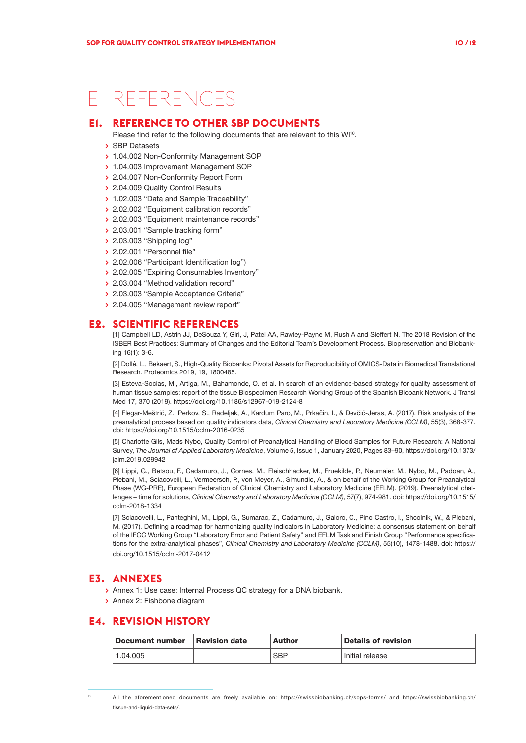## E. REFERENCES

#### **E1. REFERENCE TO OTHER SBP DOCUMENTS**

- Please find refer to the following documents that are relevant to this WI<sup>10</sup>.
- **>** SBP Datasets
- **>** 1.04.002 Non-Conformity Management SOP
- **>** 1.04.003 Improvement Management SOP
- **>** 2.04.007 Non-Conformity Report Form
- **>** 2.04.009 Quality Control Results
- **>** 1.02.003 "Data and Sample Traceability"
- **>** 2.02.002 "Equipment calibration records"
- **>** 2.02.003 "Equipment maintenance records"
- **>** 2.03.001 "Sample tracking form"
- **>** 2.03.003 "Shipping log"
- **>** 2.02.001 "Personnel file"
- **>** 2.02.006 "Participant Identification log")
- **>** 2.02.005 "Expiring Consumables Inventory"
- **>** 2.03.004 "Method validation record"
- **>** 2.03.003 "Sample Acceptance Criteria"
- **>** 2.04.005 "Management review report"

#### **E2. SCIENTIFIC REFERENCES**

[1] Campbell LD, Astrin JJ, DeSouza Y, Giri, J, Patel AA, Rawley-Payne M, Rush A and Sieffert N. The 2018 Revision of the ISBER Best Practices: Summary of Changes and the Editorial Team's Development Process. Biopreservation and Biobanking 16(1): 3-6.

[2] Dollé, L., Bekaert, S., High‐Quality Biobanks: Pivotal Assets for Reproducibility of OMICS‐Data in Biomedical Translational Research. Proteomics 2019, 19, 1800485.

[3] Esteva-Socias, M., Artiga, M., Bahamonde, O. et al. In search of an evidence-based strategy for quality assessment of human tissue samples: report of the tissue Biospecimen Research Working Group of the Spanish Biobank Network. J Transl Med 17, 370 (2019). https://doi.org/10.1186/s12967-019-2124-8

[4] Flegar-Meštrić, Z., Perkov, S., Radeljak, A., Kardum Paro, M., Prkačin, I., & Devčić-Jeras, A. (2017). Risk analysis of the preanalytical process based on quality indicators data, *Clinical Chemistry and Laboratory Medicine (CCLM)*, 55(3), 368-377. doi: https://doi.org/10.1515/cclm-2016-0235

[5] Charlotte Gils, Mads Nybo, Quality Control of Preanalytical Handling of Blood Samples for Future Research: A National Survey, *The Journal of Applied Laboratory Medicine*, Volume 5, Issue 1, January 2020, Pages 83–90, https://doi.org/10.1373/ jalm.2019.029942

[6] Lippi, G., Betsou, F., Cadamuro, J., Cornes, M., Fleischhacker, M., Fruekilde, P., Neumaier, M., Nybo, M., Padoan, A., Plebani, M., Sciacovelli, L., Vermeersch, P., von Meyer, A., Simundic, A., & on behalf of the Working Group for Preanalytical Phase (WG-PRE), European Federation of Clinical Chemistry and Laboratory Medicine (EFLM). (2019). Preanalytical challenges – time for solutions, *Clinical Chemistry and Laboratory Medicine (CCLM)*, 57(7), 974-981. doi: https://doi.org/10.1515/ cclm-2018-1334

[7] Sciacovelli, L., Panteghini, M., Lippi, G., Sumarac, Z., Cadamuro, J., Galoro, C., Pino Castro, I., Shcolnik, W., & Plebani, M. (2017). Defining a roadmap for harmonizing quality indicators in Laboratory Medicine: a consensus statement on behalf of the IFCC Working Group "Laboratory Error and Patient Safety" and EFLM Task and Finish Group "Performance specifications for the extra-analytical phases", *Clinical Chemistry and Laboratory Medicine (CCLM)*, 55(10), 1478-1488. doi: https:// doi.org/10.1515/cclm-2017-0412

#### **E3. ANNEXES**

- **>** Annex 1: Use case: Internal Process QC strategy for a DNA biobank.
- **>** Annex 2: Fishbone diagram

#### **E4. REVISION HISTORY**

| Document number     | <b>Revision date</b> | <b>Author</b> | <b>Details of revision</b> |  |  |  |
|---------------------|----------------------|---------------|----------------------------|--|--|--|
| $^{\circ}$ 1.04.005 |                      | <b>SBP</b>    | Initial release            |  |  |  |

<sup>10</sup> All the aforementioned documents are freely available on: https://swissbiobanking.ch/sops-forms/ and https://swissbiobanking.ch/ tissue-and-liquid-data-sets/.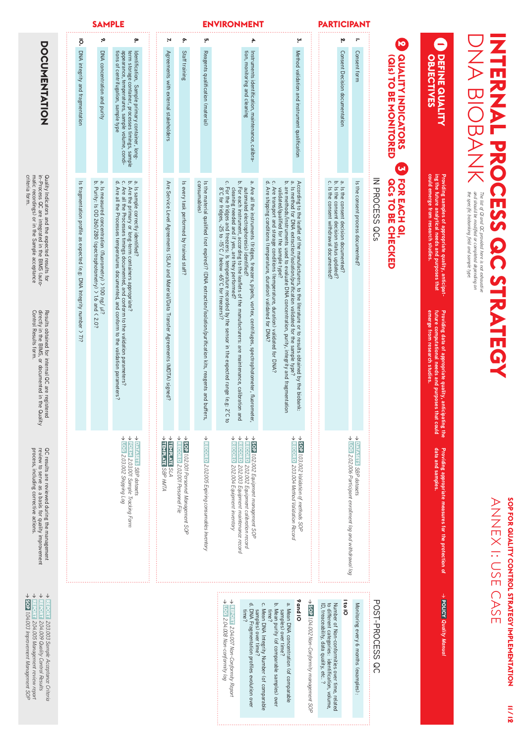| l<br>Ĭ<br>・ ここく りこ<br>$\overline{\phantom{a}}$<br>J                                                                                                                               |                  |
|-----------------------------------------------------------------------------------------------------------------------------------------------------------------------------------|------------------|
| ana si<br>The li<br><b>Tre spech</b><br>1SI.<br>ומעטוניוט שעו<br>ì<br>g<br>š<br>Ş<br>İ<br>Ś<br>лщr <sup>.</sup><br>ş<br>auws pl<br>9<br>õ<br>ś<br>annon<br><b>ANGUVe</b><br>na on | i<br>D<br>ì<br>Ĭ |

| <b>DOCCININHIOZ</b>                                                                                                                                                                                                                        | ō<br>DNA integrity and fragmentation                                                                                         | ٠,<br>DNA concentration and purity                                                                                        | ءِ<br>tions of centrifugation, sample type<br>appearance, temperatures, sample volume, condi-<br>term storage container, processes timings, sample<br>Identification,<br>Sample primary container, long-                                                                                                      | N,<br>Agreements with external stakeholders                                              | ٠<br>Staff training                            | ŗ,<br>Reagents qualification (material)                                                                                                                        | ÷.<br>tion, monitoring and cleaning<br>Instruments identification, maintenance, calibra-                                                                                                                                                                                                                                                                                                                                                                                                                             |                                                                                                                                                              | ب<br>Method validation and instrument qualification                                                                                                                                                                                                                                                                                                                                |                                              | 'n,<br>Consent Decision documentation                                                                                                                                          | $\overline{\phantom{0}}$<br>Consent form                     |                 | Ю<br><b>QUALITY INDICATORS</b><br><b>GISTO BE NONITORED</b>               | <b>DEFINE QUALITY</b><br>OBJECTIVES                                                                                                              |
|--------------------------------------------------------------------------------------------------------------------------------------------------------------------------------------------------------------------------------------------|------------------------------------------------------------------------------------------------------------------------------|---------------------------------------------------------------------------------------------------------------------------|---------------------------------------------------------------------------------------------------------------------------------------------------------------------------------------------------------------------------------------------------------------------------------------------------------------|------------------------------------------------------------------------------------------|------------------------------------------------|----------------------------------------------------------------------------------------------------------------------------------------------------------------|----------------------------------------------------------------------------------------------------------------------------------------------------------------------------------------------------------------------------------------------------------------------------------------------------------------------------------------------------------------------------------------------------------------------------------------------------------------------------------------------------------------------|--------------------------------------------------------------------------------------------------------------------------------------------------------------|------------------------------------------------------------------------------------------------------------------------------------------------------------------------------------------------------------------------------------------------------------------------------------------------------------------------------------------------------------------------------------|----------------------------------------------|--------------------------------------------------------------------------------------------------------------------------------------------------------------------------------|--------------------------------------------------------------|-----------------|---------------------------------------------------------------------------|--------------------------------------------------------------------------------------------------------------------------------------------------|
| criteria form.<br>matic recordings) or in the Sample acceptance<br>in-Process QC are integrated in the BIMS (auto-<br>Quality Indicators and the expected results for                                                                      | Is fragmentation profile as expected (e.g: DNA Integrity number > 7)?                                                        | ā,<br>Is measured concentration (fluorometry) > 100 ng/ µl?<br>Purity: Is 0D 260/280 (spectrophotometry) > 1.6 and < 2.0? | $\mathtt{ir}$ . $\mathtt{ir}$ .<br>Is sample correctly identified?<br>Are all the Processes temperatures documented, and conform to the validation parameters?<br>Are the primary or long-term containers appropriate?<br>Are all the Processes timings documented, and conform to the validation parameters? | Are Service Level Agreements (SLA) and Material/Data Transfer Agreements (MDTA) signed?  | Is every task performed by trained staff?      | consumables)<br>Is the material qualified (not expired)? (DNA extraction/isolation/purification kits, reagents and buffers,                                    | b. For each instrument, according to the leaflets of the manufacturers: are maintenance, calibration and<br>$\mathbf{\hat{p}}$<br>Ċ.<br>For the fridges and freezers: Is temperature recorded by the sensor in the expected range (e.g. 2'C to<br>8'C for fridges, -25 to -15'C / below -65'C for freezers)?<br>Are all the instruments (fridges, freezers, pipets, vortex, centrifuges, spectrophotometer, fluorometer,<br>cleaning needed and if yes, are they performed?<br>automated electrophoresis) identified | ن ج<br>Are transport and storage conditions (temperature, duration) validated for DNA?<br>Are shipping conditions (temperature, duration) validated for DNA? | $\mathbf{\underline{\omega}}$<br>ā<br>According to the leaflet of the manufacturers, to the literature or to results obtained by the biobank:<br>are methods/instruments used to evaluate DNA concentration, purity, integrity and fragmentation<br>Is method for DNA extraction/isolation/purification validated for the sample type?<br>validated/qualified for the sample type? |                                              | $\ddot{\Omega}$ in $\ddot{\Omega}$<br>Is the consent withdrawal documented?<br>$\overline{\sigma}$<br>the consent decision status updated?<br>the consent decision documented? | $\overline{\overline{w}}$<br>the consent process documented? | N PROCESS QCs   | <b>CH</b><br><b>FOR EACH QI</b><br><b>GCs TO BE CHECKED</b>               | could emerge from research studies.<br>ing the future analytical needs and purposes that<br>Providing samples of appropriate quality, anticipat- |
| Results obtained for internal QC are registered<br>directly in the BIMS, or documented in the Qua<br>Control Results form.<br>the Quality                                                                                                  |                                                                                                                              |                                                                                                                           |                                                                                                                                                                                                                                                                                                               |                                                                                          |                                                |                                                                                                                                                                |                                                                                                                                                                                                                                                                                                                                                                                                                                                                                                                      |                                                                                                                                                              |                                                                                                                                                                                                                                                                                                                                                                                    |                                              |                                                                                                                                                                                |                                                              |                 |                                                                           | emerge from research studies.<br>Providing data of appropriate quality, anticipating the<br>future computational needs and purposes that could   |
| process, including corrective actions.<br>review to serve as a basis for quality improvement<br>QC results are reviewed during the management                                                                                              | $\rightarrow$ FO<br>↓<br>$\rightarrow$ DATASETS SBP datasets<br>Loc 203.002 Shipping Log<br>RM 2.03.001 Sample Tracking Form |                                                                                                                           | A <b>TENPLATE</b> SBP MMTA<br>↓<br>TEMPLATE SLA                                                                                                                                                                                                                                                               | $\rightarrow$ 50P 1.02.001 Personnel Management SOP<br>↓<br>RECORD 202001 Personnel File | > RECORD 202005 Expiring consumables Inventory | ↓<br>$\frac{1}{\sqrt{2}}$<br>↓<br>RECORD 202.004 Equipment inventory<br>cos<br>1. 202.002 Equipment calibration record<br>202.003 Equipment maintenance record | → SOP 1.02.002 Equipment management SOP                                                                                                                                                                                                                                                                                                                                                                                                                                                                              | → RECORD 203.004 Method Validation Record<br>$\rightarrow$ 502 1.03.002 Validation of methods SOP                                                            |                                                                                                                                                                                                                                                                                                                                                                                    |                                              | $\rightarrow$ LOG 202.006 Participant enrollment log and withdrawal log<br>$\rightarrow$ DATASETS SBP datasets                                                                 |                                                              |                 | Providing appropriate measures for the protection of<br>data and samples. |                                                                                                                                                  |
| → <u>REPORT</u> 2.03.003 Sample Acceptance Criteria<br>→ <u>REPORT</u> 2.04.009 Quality Control Results<br>$\downarrow$<br>$\rightarrow$ 502 1.04.003 Improvement Management SOP<br>$\frac{1}{2}$<br>[7] 2.04.005 Management review report |                                                                                                                              |                                                                                                                           |                                                                                                                                                                                                                                                                                                               |                                                                                          |                                                |                                                                                                                                                                | → Loc 204.008 Non-conformity log<br>→ REPORT 2.04.007 Non-Conformity Report<br>d. DNA Fragmentation profiles evolution over<br>time?                                                                                                                                                                                                                                                                                                                                                                                 | c. Mean DNA Integrity Number (of comparable<br>samples) over time?<br>time?                                                                                  | 9 and 10<br>a. Mean DNA concentration (of comparable<br>b. Mean purity (of comparable samples) over<br>samples) over time?                                                                                                                                                                                                                                                         | > SOP 1.04.002 Non-Conformity management SOP | ite lO<br>Number of Non-conformities over time, related<br>ID, treaceability, data quality, etc.<br>to different categories: identification, volume,<br>Ċ.                     | Monitoring every 6 months (examples):                        | POST-PROCESS QC |                                                                           | → POLICY Quality Manual                                                                                                                          |

**SAMPLE ENVIRONMENT PARTICIPANT**